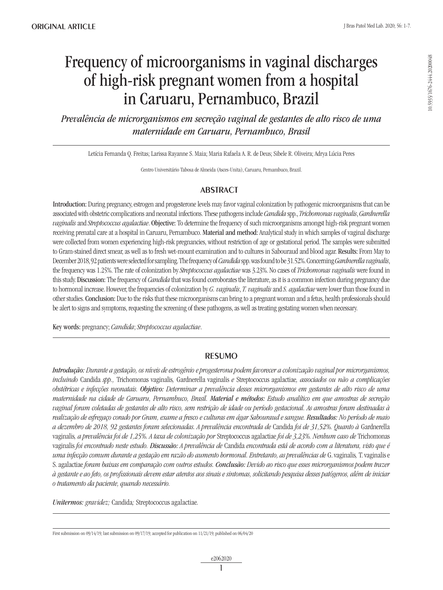# Frequency of microorganisms in vaginal discharges of high-risk pregnant women from a hospital in Caruaru, Pernambuco, Brazil

*Prevalência de microrganismos em secreção vaginal de gestantes de alto risco de uma maternidade em Caruaru, Pernambuco, Brasil*

Letícia Fernanda Q. Freitas; Larissa Rayanne S. Maia; Maria Rafaela A. R. de Deus; Sibele R. Oliveira; Adrya Lúcia Peres

Centro Universitário Tabosa de Almeida (Asces-Unita), Caruaru, Pernambuco, Brazil.

# **ABSTRACT**

Introduction: During pregnancy, estrogen and progesterone levels may favor vaginal colonization by pathogenic microorganisms that can be associated with obstetric complications and neonatal infections. These pathogens include *Candida* spp., *Trichomonas vaginalis*, *Gardnerella vaginalis* and *Streptococcus agalactiae*. Objective: To determine the frequency of such microorganisms amongst high-risk pregnant women receiving prenatal care at a hospital in Caruaru, Pernambuco. Material and method: Analytical study in which samples of vaginal discharge were collected from women experiencing high-risk pregnancies, without restriction of age or gestational period. The samples were submitted to Gram-stained direct smear, as well as to fresh wet-mount examination and to cultures in Sabouraud and blood agar. Results: From May to December 2018, 92 patients were selected for sampling. The frequency of *Candida* spp. was found to be 31.52%. Concerning *Gardnerella vaginalis*, the frequency was 1.25%. The rate of colonization by *Streptococcus agalactiae* was 3.23%. No cases of *Trichomonas vaginalis* were found in this study. Discussion: The frequency of *Candida* that was found corroborates the literature, as it is a common infection during pregnancy due to hormonal increase. However, the frequencies of colonization by *G. vaginalis*, *T. vaginalis* and *S. agalactiae* were lower than those found in other studies. Conclusion: Due to the risks that these microorganisms can bring to a pregnant woman and a fetus, health professionals should be alert to signs and symptoms, requesting the screening of these pathogens, as well as treating gestating women when necessary.

Key words: pregnancy; *Candida*; *Streptococcus agalactiae*.

# **RESUMO**

*Introdução: Durante a gestação, os níveis de estrogênio e progesterona podem favorecer a colonização vaginal por microrganismos, incluindo* Candida *spp.,* Trichomonas vaginalis*,* Gardnerella vaginalis *e* Streptococcus agalactiae*, associados ou não a complicações obstétricas e infecções neonatais. Objetivo: Determinar a prevalência desses microrganismos em gestantes de alto risco de uma maternidade na cidade de Caruaru, Pernambuco, Brasil. Material e métodos: Estudo analítico em que amostras de secreção vaginal foram coletadas de gestantes de alto risco, sem restrição de idade ou período gestacional. As amostras foram destinadas à realização de esfregaço corado por Gram, exame a fresco e culturas em ágar Sabouraud e sangue. Resultados: No período de maio a dezembro de 2018, 92 gestantes foram selecionadas. A prevalência encontrada de* Candida *foi de 31,52%. Quanto à* Gardnerella vaginalis*, a prevalência foi de 1,25%. A taxa de colonização por* Streptococcus agalactiae *foi de 3,23%. Nenhum caso de* Trichomonas vaginalis *foi encontrado neste estudo. Discussão: A prevalência de* Candida *encontrada está de acordo com a literatura, visto que é uma infecção comum durante a gestação em razão do aumento hormonal. Entretanto, as prevalências de* G. vaginalis*,* T. vaginalis e S. agalactiae *foram baixas em comparação com outros estudos. Conclusão: Devido ao risco que esses microrganismos podem trazer à gestante e ao feto, os profissionais devem estar atentos aos sinais e sintomas, solicitando pesquisa desses patógenos, além de iniciar o tratamento da paciente, quando necessário.* 

*Unitermos: gravidez;* Candida*;* Streptococcus agalactiae*.*

First submission on 09/14/19; last submission on 09/17/19; accepted for publication on 11/21/19; published on 06/04/20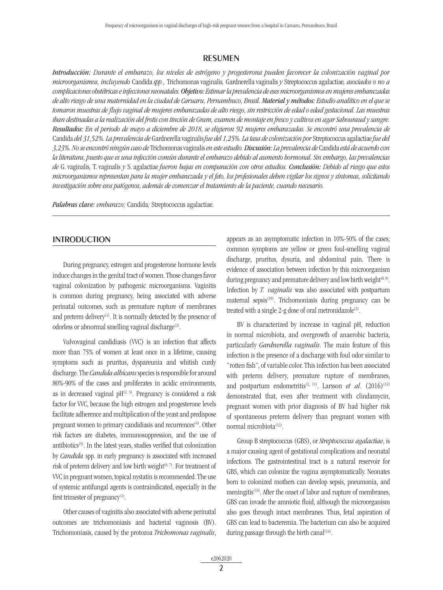## **RESUMEN**

*Introducción: Durante el embarazo, los niveles de estrógeno y progesterona pueden favorecer la colonización vaginal por microorganismos, incluyendo* Candida *spp.,* Trichomonas vaginalis*,* Gardnerella vaginalis *y* Streptococcus agalactiae*, asociados o no a complicaciones obstétricas e infecciones neonatales. Objetivo: Estimar la prevalencia de eses microorganismos en mujeres embarazadas de alto riesgo de una maternidad en la ciudad de Caruaru, Pernambuco, Brasil. Material y métodos: Estudio analítico en el que se tomaron muestras de flujo vaginal de mujeres embarazadas de alto riesgo, sin restricción de edad o edad gestacional. Las muestras iban destinadas a la realización del frotis con tinción de Gram, examen de montaje en fresco y cultivos en agar Sabouraud y sangre. Resultados: En el periodo de mayo a diciembre de 2018, se eligieron 92 mujeres embarazadas. Se encontró una prevalencia de*  Candida *del 31,52%. La prevalencia de* Gardnerella vaginalis *fue del 1,25%. La tasa de colonización por* Streptococcus agalactiae *fue del 3,23%. No se encontró ningún caso de* Trichomonas vaginalis *en este estudio. Discusión: La prevalencia de* Candida *está de acuerdo con la literatura, puesto que es una infección común durante el embarazo debido al aumento hormonal. Sin embargo, las prevalencias de* G. vaginalis*,* T. vaginalis *y* S. agalactiae *fueron bajas en comparación con otros estudios. Conclusión: Debido al riesgo que estos microorganismos representan para la mujer embarazada y el feto, los profesionales deben vigilar los signos y síntomas, solicitando investigación sobre esos patógenos, además de comenzar el tratamiento de la paciente, cuando necesario.*

*Palabras clave: embarazo;* Candida*;* Streptococcus agalactiae*.*

## **INTRODUCTION**

During pregnancy, estrogen and progesterone hormone levels induce changes in the genital tract of women. Those changes favor vaginal colonization by pathogenic microorganisms. Vaginitis is common during pregnancy, being associated with adverse perinatal outcomes, such as premature rupture of membranes and preterm delivery<sup>(1)</sup>. It is normally detected by the presence of odorless or abnormal smelling vaginal discharge<sup>(2)</sup>.

Vulvovaginal candidiasis (VVC) is an infection that affects more than 75% of women at least once in a lifetime, causing symptoms such as pruritus, dyspareunia and whitish curdy discharge. The *Candida albicans* species is responsible for around 80%-90% of the cases and proliferates in acidic environments, as in decreased vaginal  $pH^{(2, 3)}$ . Pregnancy is considered a risk factor for VVC, because the high estrogen and progesterone levels facilitate adherence and multiplication of the yeast and predispose pregnant women to primary candidiasis and recurrences $(4)$ . Other risk factors are diabetes, immunosuppression, and the use of antibiotics<sup>(5)</sup>. In the latest years, studies verified that colonization by *Candida* spp. in early pregnancy is associated with increased risk of preterm delivery and low birth weight $(6, 7)$ . For treatment of VVC in pregnant women, topical nystatin is recommended. The use of systemic antifungal agents is contraindicated, especially in the first trimester of pregnancy $(2)$ .

Other causes of vaginitis also associated with adverse perinatal outcomes are trichomoniasis and bacterial vaginosis (BV). Trichomoniasis, caused by the protozoa *Trichomonas vaginalis*, appears as an asymptomatic infection in 10%-50% of the cases; common symptoms are yellow or green foul-smelling vaginal discharge, pruritus, dysuria, and abdominal pain. There is evidence of association between infection by this microorganism during pregnancy and premature delivery and low birth weight<sup>(8,9)</sup>. Infection by *T. vaginalis* was also associated with postpartum maternal sepsis<sup>(10)</sup>. Trichomoniasis during pregnancy can be treated with a single 2-g dose of oral metronidazole<sup>(2)</sup>.

BV is characterized by increase in vaginal pH, reduction in normal microbiota, and overgrowth of anaerobic bacteria, particularly *Gardnerella vaginalis*. The main feature of this infection is the presence of a discharge with foul odor similar to "rotten fish", of variable color. This infection has been associated with preterm delivery, premature rupture of membranes, and postpartum endometritis<sup>(2, 11)</sup>. Larsson *et al.* (2016)<sup>(12)</sup> demonstrated that, even after treatment with clindamycin, pregnant women with prior diagnosis of BV had higher risk of spontaneous preterm delivery than pregnant women with normal microbiota<sup>(12)</sup>.

Group B streptococcus (GBS), or *Streptococcus agalactiae*, is a major causing agent of gestational complications and neonatal infections. The gastrointestinal tract is a natural reservoir for GBS, which can colonize the vagina asymptomatically. Neonates born to colonized mothers can develop sepsis, pneumonia, and meningitis<sup>(13)</sup>. After the onset of labor and rupture of membranes, GBS can invade the amniotic fluid, although the microorganism also goes through intact membranes. Thus, fetal aspiration of GBS can lead to bacteremia. The bacterium can also be acquired during passage through the birth canal<sup> $(14)$ </sup>.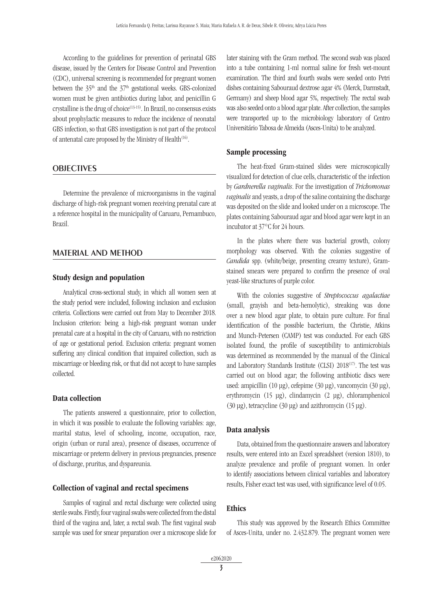According to the guidelines for prevention of perinatal GBS disease, issued by the Centers for Disease Control and Prevention (CDC), universal screening is recommended for pregnant women between the  $35<sup>th</sup>$  and the  $37<sup>th</sup>$  gestational weeks. GBS-colonized women must be given antibiotics during labor, and penicillin G crystalline is the drug of choice(13-15). In Brazil, no consensus exists about prophylactic measures to reduce the incidence of neonatal GBS infection, so that GBS investigation is not part of the protocol of antenatal care proposed by the Ministry of Health<sup> $(16)$ </sup>.

#### **OBJECTIVES**

Determine the prevalence of microorganisms in the vaginal discharge of high-risk pregnant women receiving prenatal care at a reference hospital in the municipality of Caruaru, Pernambuco, Brazil.

## Material and method

#### Study design and population

Analytical cross-sectional study, in which all women seen at the study period were included, following inclusion and exclusion criteria. Collections were carried out from May to December 2018. Inclusion criterion: being a high-risk pregnant woman under prenatal care at a hospital in the city of Caruaru, with no restriction of age or gestational period. Exclusion criteria: pregnant women suffering any clinical condition that impaired collection, such as miscarriage or bleeding risk, or that did not accept to have samples collected.

#### Data collection

The patients answered a questionnaire, prior to collection, in which it was possible to evaluate the following variables: age, marital status, level of schooling, income, occupation, race, origin (urban or rural area), presence of diseases, occurrence of miscarriage or preterm delivery in previous pregnancies, presence of discharge, pruritus, and dyspareunia.

#### Collection of vaginal and rectal specimens

Samples of vaginal and rectal discharge were collected using sterile swabs. Firstly, four vaginal swabs were collected from the distal third of the vagina and, later, a rectal swab. The first vaginal swab sample was used for smear preparation over a microscope slide for later staining with the Gram method. The second swab was placed into a tube containing 1-ml normal saline for fresh wet-mount examination. The third and fourth swabs were seeded onto Petri dishes containing Sabouraud dextrose agar 4% (Merck, Darmstadt, Germany) and sheep blood agar 5%, respectively. The rectal swab was also seeded onto a blood agar plate. After collection, the samples were transported up to the microbiology laboratory of Centro Universitário Tabosa de Almeida (Asces-Unita) to be analyzed.

#### Sample processing

The heat-fixed Gram-stained slides were microscopically visualized for detection of clue cells, characteristic of the infection by *Gardnerella vaginalis*. For the investigation of *Trichomonas vaginalis* and yeasts, a drop of the saline containing the discharge was deposited on the slide and looked under on a microscope. The plates containing Sabouraud agar and blood agar were kept in an incubator at 37°C for 24 hours.

In the plates where there was bacterial growth, colony morphology was observed. With the colonies suggestive of *Candida* spp. (white/beige, presenting creamy texture), Gramstained smears were prepared to confirm the presence of oval yeast-like structures of purple color.

With the colonies suggestive of *Streptococcus agalactiae* (small, grayish and beta-hemolytic), streaking was done over a new blood agar plate, to obtain pure culture. For final identification of the possible bacterium, the Christie, Atkins and Munch-Petersen (CAMP) test was conducted. For each GBS isolated found, the profile of susceptibility to antimicrobials was determined as recommended by the manual of the Clinical and Laboratory Standards Institute (CLSI) 2018<sup>(17)</sup>. The test was carried out on blood agar; the following antibiotic discs were used: ampicillin (10 µg), cefepime (30 µg), vancomycin (30 µg), erythromycin (15 µg), clindamycin (2 µg), chloramphenicol (30 µg), tetracycline (30 µg) and azithromycin (15 µg).

#### Data analysis

Data, obtained from the questionnaire answers and laboratory results, were entered into an Excel spreadsheet (version 1810), to analyze prevalence and profile of pregnant women. In order to identify associations between clinical variables and laboratory results, Fisher exact test was used, with significance level of 0.05.

#### Ethics

This study was approved by the Research Ethics Committee of Asces-Unita, under no. 2.432.879. The pregnant women were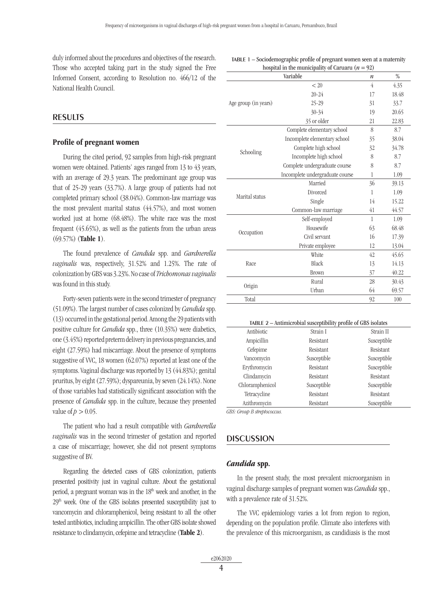duly informed about the procedures and objectives of the research. Those who accepted taking part in the study signed the Free Informed Consent, according to Resolution no. 466/12 of the National Health Council.

## **RESULTS**

## Profile of pregnant women

During the cited period, 92 samples from high-risk pregnant women were obtained. Patients' ages ranged from 13 to 43 years, with an average of 29.3 years. The predominant age group was that of 25-29 years (33.7%). A large group of patients had not completed primary school (38.04%). Common-law marriage was the most prevalent marital status (44.57%), and most women worked just at home (68.48%). The white race was the most frequent (45.65%), as well as the patients from the urban areas (69.57%) (Table 1).

The found prevalence of *Candida* spp. and *Gardnerella vaginalis* was, respectively, 31.52% and 1.25%. The rate of colonization by GBS was 3.23%. No case of *Trichomonas vaginalis* was found in this study.

Forty-seven patients were in the second trimester of pregnancy (51.09%). The largest number of cases colonized by *Candida* spp. (13) occurred in the gestational period. Among the 29 patients with positive culture for *Candida* spp., three (10.35%) were diabetics, one (3.45%) reported preterm delivery in previous pregnancies, and eight (27.59%) had miscarriage. About the presence of symptoms suggestive of VVC, 18 women (62.07%) reported at least one of the symptoms. Vaginal discharge was reported by 13 (44.83%); genital pruritus, by eight (27.59%); dyspareunia, by seven (24.14%). None of those variables had statistically significant association with the presence of *Candida* spp. in the culture, because they presented value of  $p > 0.05$ .

The patient who had a result compatible with *Gardnerella vaginalis* was in the second trimester of gestation and reported a case of miscarriage; however, she did not present symptoms suggestive of BV.

Regarding the detected cases of GBS colonization, patients presented positivity just in vaginal culture. About the gestational period, a pregnant woman was in the 18th week and another, in the 29th week. One of the GBS isolates presented susceptibility just to vancomycin and chloramphenicol, being resistant to all the other tested antibiotics, including ampicillin. The other GBS isolate showed resistance to clindamycin, cefepime and tetracycline (Table 2).

| Variable             |                                 | n  | $\frac{0}{0}$ |
|----------------------|---------------------------------|----|---------------|
| Age group (in years) | < 20                            | 4  | 4.35          |
|                      | $20 - 24$                       | 17 | 18.48         |
|                      | 25-29                           | 31 | 33.7          |
|                      | $30 - 34$                       | 19 | 20.65         |
|                      | 35 or older                     | 21 | 22.83         |
| Schooling            | Complete elementary school      | 8  | 8.7           |
|                      | Incomplete elementary school    | 35 | 38.04         |
|                      | Complete high school            | 32 | 34.78         |
|                      | Incomplete high school          | 8  | 8.7           |
|                      | Complete undergraduate course   | 8  | 8.7           |
|                      | Incomplete undergraduate course | 1  | 1.09          |
| Marital status       | Married                         | 36 | 39.13         |
|                      | Divorced                        | 1  | 1.09          |
|                      | Single                          | 14 | 15.22         |
|                      | Common-law marriage             | 41 | 44.57         |
| Occupation           | Self-employed                   | 1  | 1.09          |
|                      | Housewife                       | 63 | 68.48         |
|                      | Civil servant                   | 16 | 17.39         |
|                      | Private employee                | 12 | 13.04         |
| Race                 | White                           | 42 | 45.65         |
|                      | Black                           | 13 | 14.13         |
|                      | Brown                           | 37 | 40.22         |
| Origin               | Rural                           | 28 | 30.43         |
|                      | Urban                           | 64 | 69.57         |
| Total                |                                 | 92 | 100           |
|                      |                                 |    |               |

| TABLE 2 - Antimicrobial susceptibility profile of GBS isolates |                  |             |  |
|----------------------------------------------------------------|------------------|-------------|--|
| Antibiotic                                                     | Strain I         | Strain II   |  |
| Ampicillin                                                     | Resistant        | Susceptible |  |
| Cefepime                                                       | <b>Resistant</b> | Resistant   |  |
| Vancomycin                                                     | Susceptible      | Susceptible |  |
| Erythromycin                                                   | <b>Resistant</b> | Susceptible |  |
| Clindamycin                                                    | <b>Resistant</b> | Resistant   |  |
| Chloramphenicol                                                | Susceptible      | Susceptible |  |
| Tetracycline                                                   | <b>Resistant</b> | Resistant   |  |
| Azithromycin                                                   | Resistant        | Susceptible |  |

*GBS: Group B streptococcus.*

#### **DISCUSSION**

## *Candida* spp.

In the present study, the most prevalent microorganism in vaginal discharge samples of pregnant women was *Candida* spp., with a prevalence rate of 31.52%.

The VVC epidemiology varies a lot from region to region, depending on the population profile. Climate also interferes with the prevalence of this microorganism, as candidiasis is the most

TABLE  $1 -$  Sociodemographic profile of pregnant women seen at a maternity hospital in the municipality of Caruaru  $(n = 92)$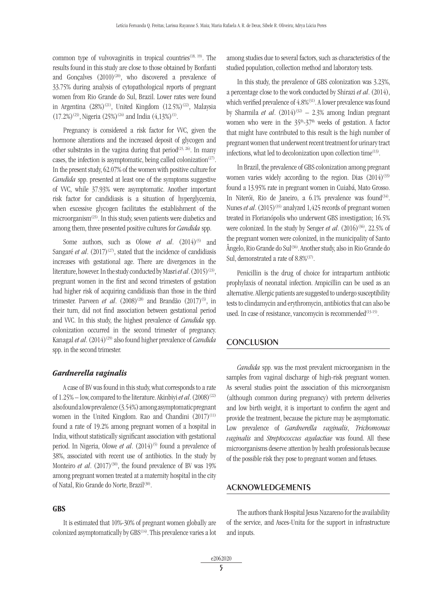common type of vulvovaginitis in tropical countries<sup>(18, 19)</sup>. The results found in this study are close to those obtained by Bonfanti and Goncalves  $(2010)^{(20)}$ , who discovered a prevalence of 33.75% during analysis of cytopathological reports of pregnant women from Rio Grande do Sul, Brazil. Lower rates were found in Argentina (28%)<sup>(21)</sup>, United Kingdom (12.5%)<sup>(22)</sup>, Malaysia  $(17.2\%)^{(23)}$ , Nigeria  $(25\%)^{(24)}$  and India  $(4.13\%)^{(1)}$ .

Pregnancy is considered a risk factor for VVC, given the hormone alterations and the increased deposit of glycogen and other substrates in the vagina during that period<sup> $(25, 26)$ </sup>. In many cases, the infection is asymptomatic, being called colonization<sup> $(27)$ </sup>. In the present study, 62.07% of the women with positive culture for *Candida* spp. presented at least one of the symptoms suggestive of VVC, while 37.93% were asymptomatic. Another important risk factor for candidiasis is a situation of hyperglycemia, when excessive glycogen facilitates the establishment of the microorganism<sup> $(25)$ </sup>. In this study, seven patients were diabetics and among them, three presented positive cultures for *Candida* spp.

Some authors, such as Olowe *et al.* (2014)<sup>(5)</sup> and Sangaré *et al.* (2017)<sup>(27)</sup>, stated that the incidence of candidiasis increases with gestational age. There are divergences in the literature, however. In the study conducted by Masri *et al.* (2015)<sup>(23)</sup>, pregnant women in the first and second trimesters of gestation had higher risk of acquiring candidiasis than those in the third trimester. Parveen *et al.* (2008)<sup>(28)</sup> and Brandão (2017)<sup>(3)</sup>, in their turn, did not find association between gestational period and VVC. In this study, the highest prevalence of *Candida* spp. colonization occurred in the second trimester of pregnancy. Kanagal *et al.* (2014)<sup>(29)</sup> also found higher prevalence of *Candida* spp. in the second trimester.

#### *Gardnerella vaginalis*

A case of BV was found in this study, what corresponds to a rate of 1.25% – low, compared to the literature. Akinbiyi *et al.* (2008)<sup>(22)</sup> also found a low prevalence (3.54%) among asymptomatic pregnant women in the United Kingdom. Rao and Chandini  $(2017)^{(11)}$ found a rate of 19.2% among pregnant women of a hospital in India, without statistically significant association with gestational period. In Nigeria, Olowe *et al.*  $(2014)^{(5)}$  found a prevalence of 38%, associated with recent use of antibiotics. In the study by Monteiro *et al.*  $(2017)^{(30)}$ , the found prevalence of BV was 19% among pregnant women treated at a maternity hospital in the city of Natal, Rio Grande do Norte, Brazil<sup>(30)</sup>.

## GBS

It is estimated that 10%-30% of pregnant women globally are colonized asymptomatically by GBS<sup>(14)</sup>. This prevalence varies a lot

among studies due to several factors, such as characteristics of the studied population, collection method and laboratory tests.

In this study, the prevalence of GBS colonization was 3.23%, a percentage close to the work conducted by Shirazi *et al*. (2014), which verified prevalence of 4.8%(31). A lower prevalence was found by Sharmila *et al.*  $(2014)^{(32)} - 2.3\%$  among Indian pregnant women who were in the  $35<sup>th</sup>-37<sup>th</sup>$  weeks of gestation. A factor that might have contributed to this result is the high number of pregnant women that underwent recent treatment for urinary tract infections, what led to decolonization upon collection time $(13)$ .

In Brazil, the prevalence of GBS colonization among pregnant women varies widely according to the region. Dias  $(2014)^{(33)}$ found a 13.95% rate in pregnant women in Cuiabá, Mato Grosso. In Niterói, Rio de Janeiro, a  $6.1\%$  prevalence was found<sup>(34)</sup>. Nunes *et al.* (2015)<sup>(35)</sup> analyzed 1,425 records of pregnant women treated in Florianópolis who underwent GBS investigation; 16.5% were colonized. In the study by Senger *et al.* (2016)<sup>(36)</sup>, 22.5% of the pregnant women were colonized, in the municipality of Santo Ângelo, Rio Grande do Sul<sup>(36)</sup>. Another study, also in Rio Grande do Sul, demonstrated a rate of 8.8%<sup>(37)</sup>.

Penicillin is the drug of choice for intrapartum antibiotic prophylaxis of neonatal infection. Ampicillin can be used as an alternative. Allergic patients are suggested to undergo susceptibility tests to clindamycin and erythromycin, antibiotics that can also be used. In case of resistance, vancomycin is recommended<sup>(13-15)</sup>.

## **CONCLUSION**

*Candida* spp. was the most prevalent microorganism in the samples from vaginal discharge of high-risk pregnant women. As several studies point the association of this microorganism (although common during pregnancy) with preterm deliveries and low birth weight, it is important to confirm the agent and provide the treatment, because the picture may be asymptomatic. Low prevalence of *Gardnerella vaginalis*, *Trichomonas vaginalis* and *Streptococcus agalactiae* was found. All these microorganisms deserve attention by health professionals because of the possible risk they pose to pregnant women and fetuses.

#### Acknowledgements

The authors thank Hospital Jesus Nazareno for the availability of the service, and Asces-Unita for the support in infrastructure and inputs.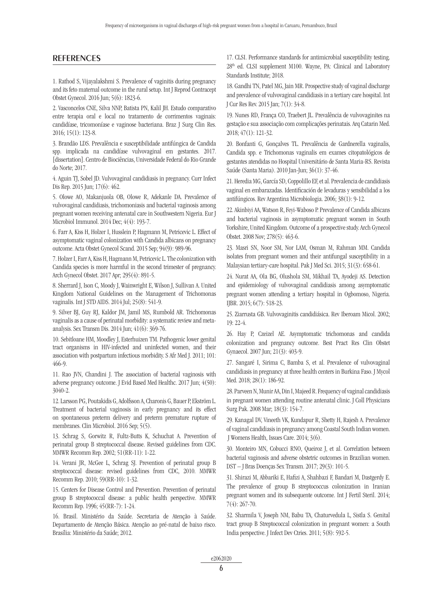## **REFERENCES**

1. Rathod S, Vijayalakshmi S. Prevalence of vaginitis during pregnancy and its feto maternal outcome in the rural setup. Int J Reprod Contracept Obstet Gynecol. 2016 Jun; 5(6): 1823-6.

2. Vasconcelos CNE, Silva NNP, Batista PN, Kalil JH. Estudo comparativo entre terapia oral e local no tratamento de corrimentos vaginais: candidíase, tricomoníase e vaginose bacteriana. Braz J Surg Clin Res. 2016; 15(1): 123-8.

3. Brandão LDS. Prevalência e susceptibilidade antifúngica de Candida spp. implicada na candidíase vulvovaginal em gestantes. 2017. [dissertation]. Centro de Biociências, Universidade Federal do Rio Grande do Norte; 2017.

4. Aguin TJ, Sobel JD. Vulvovaginal candidiasis in pregnancy. Curr Infect Dis Rep. 2015 Jun; 17(6): 462.

5. Olowe AO, Makanjuola OB, Olowe R, Adekanle DA. Prevalence of vulvovaginal candidiasis, trichomoniasis and bacterial vaginosis among pregnant women receiving antenatal care in Southwestern Nigeria. Eur J Microbiol Immunol. 2014 Dec; 4(4): 193-7.

6. Farr A, Kiss H, Holzer I, Husslein P, Hagmann M, Petricevic L. Effect of asymptomatic vaginal colonization with Candida albicans on pregnancy outcome. Acta Obstet Gynecol Scand. 2015 Sep; 94(9): 989-96.

7. Holzer I, Farr A, Kiss H, Hagmann M, Petricevic L. The colonization with Candida species is more harmful in the second trimester of pregnancy. Arch Gynecol Obstet. 2017 Apr; 295(4): 891-5.

8. Sherrard J, Ison C, Moody J, Wainwright E, Wilson J, Sullivan A. United Kingdom National Guidelines on the Management of Trichomonas vaginalis. Int J STD AIDS. 2014 Jul; 25(8): 541-9.

9. Silver BJ, Guy RJ, Kaldor JM, Jamil MS, Rumbold AR. Trichomonas vaginalis as a cause of perinatal morbidity: a systematic review and metaanalysis. Sex Transm Dis. 2014 Jun; 41(6): 369-76.

10. Sebitloane HM, Moodley J, Esterhuizen TM. Pathogenic lower genital tract organisms in HIV-infected and uninfected women, and their association with postpartum infectious morbidity. S Afr Med J. 2011; 101: 466-9.

11. Rao JVN, Chandini J. The association of bacterial vaginosis with adverse pregnancy outcome. J Evid Based Med Healthc. 2017 Jun; 4(50): 3040-2.

12. Larsson PG, Poutakidis G, Adolfsson A, Charonis G, Bauer P, Ekström L. Treatment of bacterial vaginosis in early pregnancy and its effect on spontaneous preterm delivery and preterm premature rupture of membranes. Clin Microbiol. 2016 Sep; 5(5).

13. Schrag S, Gorwitz R, Fultz-Butts K, Schuchat A. Prevention of perinatal group B streptococcal disease. Revised guidelines from CDC. MMWR Recomm Rep. 2002; 51(RR-11): 1-22.

14. Verani JR, McGee L, Schrag SJ. Prevention of perinatal group B streptococcal disease: revised guidelines from CDC, 2010. MMWR Recomm Rep. 2010; 59(RR-10): 1-32.

15. Centers for Disease Control and Prevention. Prevention of perinatal group B streptococcal disease: a public health perspective. MMWR Recomm Rep. 1996; 45(RR-7): 1-24.

16. Brasil. Ministério da Saúde. Secretaria de Atenção à Saúde. Departamento de Atenção Básica. Atenção ao pré-natal de baixo risco. Brasília: Ministério da Saúde; 2012.

17. CLSI. Performance standards for antimicrobial susceptibility testing. 28th ed. CLSI supplement M100. Wayne, PA: Clinical and Laboratory Standards Institute; 2018.

18. Gandhi TN, Patel MG, Jain MR. Prospective study of vaginal discharge and prevalence of vulvovaginal candidiasis in a tertiary care hospital. Int J Cur Res Rev. 2015 Jan; 7(1): 34-8.

19. Nunes RD, França CO, Traebert JL. Prevalência de vulvovaginites na gestação e sua associação com complicações perinatais. Arq Catarin Med. 2018; 47(1): 121-32.

20. Bonfanti G, Gonçalves TL. Prevalência de Gardnerella vaginalis, Candida spp. e Trichomonas vaginalis em exames citopatológicos de gestantes atendidas no Hospital Universitário de Santa Maria-RS. Revista Saúde (Santa Maria). 2010 Jan-Jun; 36(1): 37-46.

21. Heredia MG, García SD, Coppolillo EF, et al. Prevalencia de candidiasis vaginal en embarazadas. Identificación de levaduras y sensibilidad a los antifúngicos. Rev Argentina Microbiologia. 2006; 38(1): 9-12.

22. Akinbiyi AA, Watson R, Feyi-Waboso P. Prevalence of Candida albicans and bacterial vaginosis in asymptomatic pregnant women in South Yorkshire, United Kingdom. Outcome of a prospective study. Arch Gynecol Obstet. 2008 Nov; 278(5): 463-6.

23. Masri SN, Noor SM, Nor LAM, Osman M, Rahman MM. Candida isolates from pregnant women and their antifungal susceptibility in a Malaysian tertiary-care hospital. Pak J Med Sci. 2015; 31(3): 658-61.

24. Nurat AA, Ola BG, Olushola SM, Mikhail TA, Ayodeji AS. Detection and epidemiology of vulvovaginal candidiasis among asymptomatic pregnant women attending a tertiary hospital in Ogbomoso, Nigeria. IJBR. 2015; 6(7): 518-23.

25. Ziarrusta GB. Vulvovaginitis candidiásica. Rev Iberoam Micol. 2002; 19: 22-4.

26. Hay P, Czeizel AE. Asymptomatic trichomonas and candida colonization and pregnancy outcome. Best Pract Res Clin Obstet Gynaecol. 2007 Jun; 21(3): 403-9.

27. Sangaré I, Sirima C, Bamba S, et al. Prevalence of vulvovaginal candidiasis in pregnancy at three health centers in Burkina Faso. J Mycol Med. 2018; 28(1): 186-92.

28. Parveen N, Munir AA, Din I, Majeed R. Frequency of vaginal candidiasis in pregnant women attending routine antenatal clinic. J Coll Physicians Surg Pak. 2008 Mar; 18(3): 154-7.

29. Kanagal DV, Vineeth VK, Kundapur R, Shetty H, Rajesh A. Prevalence of vaginal candidiasis in pregnancy among Coastal South Indian women. J Womens Health, Issues Care. 2014; 3(6).

30. Monteiro MN, Cobucci RNO, Queiroz J, et al. Correlation between bacterial vaginosis and adverse obstetric outcomes in Brazilian women. DST – J Bras Doenças Sex Transm. 2017; 29(3): 101-5.

31. Shirazi M, Abbariki E, Hafizi A, Shahbazi F, Bandari M, Dastgerdy E. The prevalence of group B streptococcus colonization in Iranian pregnant women and its subsequente outcome. Int J Fertil Steril. 2014; 7(4): 267-70.

32. Sharmila V, Joseph NM, Babu TA, Chaturvedula L, Sistla S. Genital tract group B Streptococcal colonization in pregnant women: a South India perspective. J Infect Dev Ctries. 2011; 5(8): 592-5.